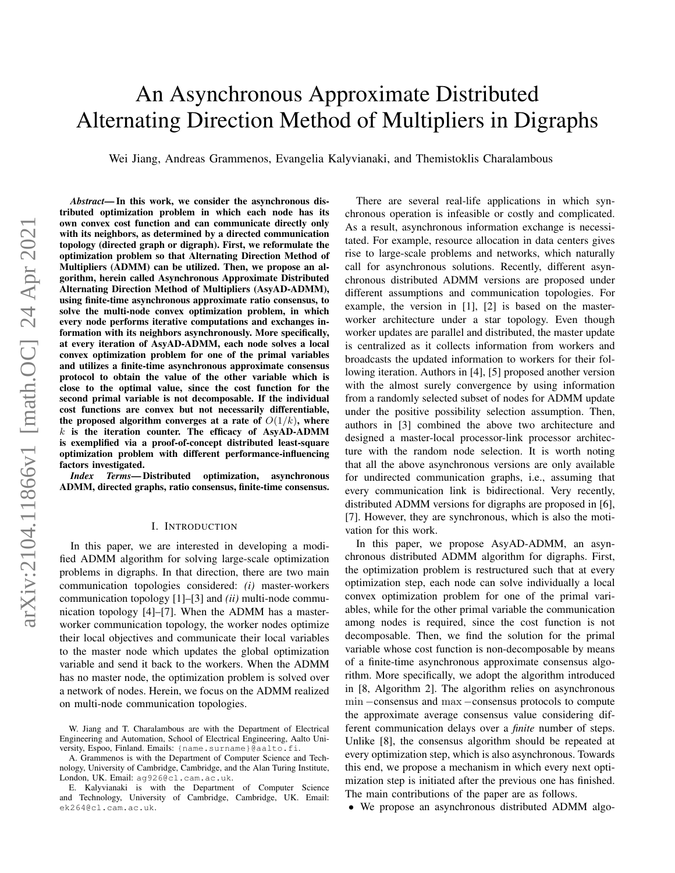# <span id="page-0-0"></span>An Asynchronous Approximate Distributed Alternating Direction Method of Multipliers in Digraphs

Wei Jiang, Andreas Grammenos, Evangelia Kalyvianaki, and Themistoklis Charalambous

*Abstract*— In this work, we consider the asynchronous distributed optimization problem in which each node has its own convex cost function and can communicate directly only with its neighbors, as determined by a directed communication topology (directed graph or digraph). First, we reformulate the optimization problem so that Alternating Direction Method of Multipliers (ADMM) can be utilized. Then, we propose an algorithm, herein called Asynchronous Approximate Distributed Alternating Direction Method of Multipliers (AsyAD-ADMM), using finite-time asynchronous approximate ratio consensus, to solve the multi-node convex optimization problem, in which every node performs iterative computations and exchanges information with its neighbors asynchronously. More specifically, at every iteration of AsyAD-ADMM, each node solves a local convex optimization problem for one of the primal variables and utilizes a finite-time asynchronous approximate consensus protocol to obtain the value of the other variable which is close to the optimal value, since the cost function for the second primal variable is not decomposable. If the individual cost functions are convex but not necessarily differentiable, the proposed algorithm converges at a rate of  $O(1/k)$ , where  $k$  is the iteration counter. The efficacy of AsyAD-ADMM is exemplified via a proof-of-concept distributed least-square optimization problem with different performance-influencing factors investigated.

*Index Terms*— Distributed optimization, asynchronous ADMM, directed graphs, ratio consensus, finite-time consensus.

#### I. INTRODUCTION

In this paper, we are interested in developing a modified ADMM algorithm for solving large-scale optimization problems in digraphs. In that direction, there are two main communication topologies considered: *(i)* master-workers communication topology [1]–[3] and *(ii)* multi-node communication topology [4]–[7]. When the ADMM has a masterworker communication topology, the worker nodes optimize their local objectives and communicate their local variables to the master node which updates the global optimization variable and send it back to the workers. When the ADMM has no master node, the optimization problem is solved over a network of nodes. Herein, we focus on the ADMM realized on multi-node communication topologies.

There are several real-life applications in which synchronous operation is infeasible or costly and complicated. As a result, asynchronous information exchange is necessitated. For example, resource allocation in data centers gives rise to large-scale problems and networks, which naturally call for asynchronous solutions. Recently, different asynchronous distributed ADMM versions are proposed under different assumptions and communication topologies. For example, the version in [1], [2] is based on the masterworker architecture under a star topology. Even though worker updates are parallel and distributed, the master update is centralized as it collects information from workers and broadcasts the updated information to workers for their following iteration. Authors in [4], [5] proposed another version with the almost surely convergence by using information from a randomly selected subset of nodes for ADMM update under the positive possibility selection assumption. Then, authors in [3] combined the above two architecture and designed a master-local processor-link processor architecture with the random node selection. It is worth noting that all the above asynchronous versions are only available for undirected communication graphs, i.e., assuming that every communication link is bidirectional. Very recently, distributed ADMM versions for digraphs are proposed in [6], [7]. However, they are synchronous, which is also the motivation for this work.

In this paper, we propose AsyAD-ADMM, an asynchronous distributed ADMM algorithm for digraphs. First, the optimization problem is restructured such that at every optimization step, each node can solve individually a local convex optimization problem for one of the primal variables, while for the other primal variable the communication among nodes is required, since the cost function is not decomposable. Then, we find the solution for the primal variable whose cost function is non-decomposable by means of a finite-time asynchronous approximate consensus algorithm. More specifically, we adopt the algorithm introduced in [8, Algorithm 2]. The algorithm relies on asynchronous min −consensus and max −consensus protocols to compute the approximate average consensus value considering different communication delays over a *finite* number of steps. Unlike [8], the consensus algorithm should be repeated at every optimization step, which is also asynchronous. Towards this end, we propose a mechanism in which every next optimization step is initiated after the previous one has finished. The main contributions of the paper are as follows.

• We propose an asynchronous distributed ADMM algo-

W. Jiang and T. Charalambous are with the Department of Electrical Engineering and Automation, School of Electrical Engineering, Aalto University, Espoo, Finland. Emails: {name.surname}@aalto.fi.

A. Grammenos is with the Department of Computer Science and Technology, University of Cambridge, Cambridge, and the Alan Turing Institute, London, UK. Email: ag926@cl.cam.ac.uk.

E. Kalyvianaki is with the Department of Computer Science and Technology, University of Cambridge, Cambridge, UK. Email: ek264@cl.cam.ac.uk.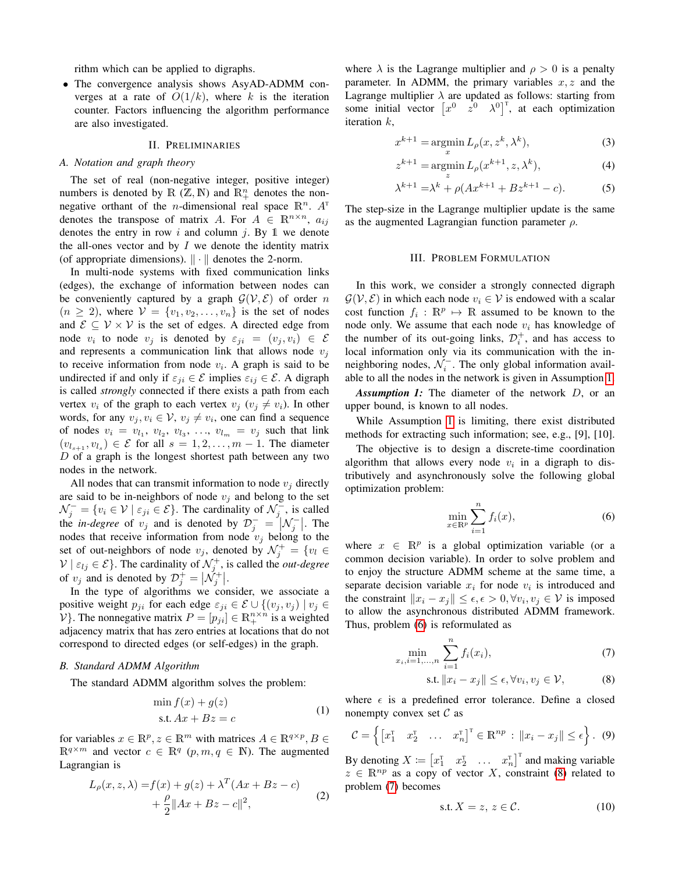rithm which can be applied to digraphs.

• The convergence analysis shows AsyAD-ADMM converges at a rate of  $O(1/k)$ , where k is the iteration counter. Factors influencing the algorithm performance are also investigated.

# II. PRELIMINARIES

# *A. Notation and graph theory*

The set of real (non-negative integer, positive integer) numbers is denoted by  $\mathbb R$  ( $\mathbb Z, \mathbb N$ ) and  $\mathbb R^n_+$  denotes the nonnegative orthant of the *n*-dimensional real space  $\mathbb{R}^n$ .  $A^T$ denotes the transpose of matrix A. For  $A \in \mathbb{R}^{n \times n}$ ,  $a_{ij}$ denotes the entry in row i and column j. By 1 we denote the all-ones vector and by  $I$  we denote the identity matrix (of appropriate dimensions).  $\|\cdot\|$  denotes the 2-norm.

In multi-node systems with fixed communication links (edges), the exchange of information between nodes can be conveniently captured by a graph  $\mathcal{G}(\mathcal{V}, \mathcal{E})$  of order n  $(n \geq 2)$ , where  $V = \{v_1, v_2, \ldots, v_n\}$  is the set of nodes and  $\mathcal{E} \subseteq \mathcal{V} \times \mathcal{V}$  is the set of edges. A directed edge from node  $v_i$  to node  $v_j$  is denoted by  $\varepsilon_{ji} = (v_j, v_i) \in \mathcal{E}$ and represents a communication link that allows node  $v_j$ to receive information from node  $v_i$ . A graph is said to be undirected if and only if  $\varepsilon_{ji} \in \mathcal{E}$  implies  $\varepsilon_{ij} \in \mathcal{E}$ . A digraph is called *strongly* connected if there exists a path from each vertex  $v_i$  of the graph to each vertex  $v_j$  ( $v_j \neq v_i$ ). In other words, for any  $v_j, v_i \in V$ ,  $v_j \neq v_i$ , one can find a sequence of nodes  $v_i = v_{l_1}, v_{l_2}, v_{l_3}, \ldots, v_{l_m} = v_j$  such that link  $(v_{l_{s+1}}, v_{l_s}) \in \mathcal{E}$  for all  $s = 1, 2, \ldots, m-1$ . The diameter  $D$  of a graph is the longest shortest path between any two nodes in the network.

All nodes that can transmit information to node  $v_i$  directly are said to be in-neighbors of node  $v_i$  and belong to the set  $\mathcal{N}_j^- = \{v_i \in \mathcal{V} \mid \varepsilon_{ji} \in \mathcal{E}\}\$ . The cardinality of  $\mathcal{N}_j^-$ , is called the *in-degree* of  $v_j$  and is denoted by  $\mathcal{D}_j^- = |\mathcal{N}_j^-|$ . The nodes that receive information from node  $v_j$  belong to the set of out-neighbors of node  $v_j$ , denoted by  $\mathcal{N}_j^+ = \{v_l \in$  $V \mid \varepsilon_{lj} \in \mathcal{E}$ . The cardinality of  $\mathcal{N}_j^+$ , is called the *out-degree* of  $v_j$  and is denoted by  $\mathcal{D}_j^+ = |\mathcal{N}_j^+|$ .

In the type of algorithms we consider, we associate a positive weight  $p_{ji}$  for each edge  $\varepsilon_{ji} \in \mathcal{E} \cup \{(v_j, v_j) \mid v_j \in$ V}. The nonnegative matrix  $P = [p_{ji}] \in \mathbb{R}_+^{n \times n}$  is a weighted adjacency matrix that has zero entries at locations that do not correspond to directed edges (or self-edges) in the graph.

## *B. Standard ADMM Algorithm*

The standard ADMM algorithm solves the problem:

$$
\min f(x) + g(z)
$$
  
s.t.  $Ax + Bz = c$  (1)

for variables  $x \in \mathbb{R}^p, z \in \mathbb{R}^m$  with matrices  $A \in \mathbb{R}^{q \times p}, B \in$  $\mathbb{R}^{q \times m}$  and vector  $c \in \mathbb{R}^q$   $(p, m, q \in \mathbb{N})$ . The augmented Lagrangian is

$$
L_{\rho}(x, z, \lambda) = f(x) + g(z) + \lambda^{T} (Ax + Bz - c)
$$
  
+ 
$$
\frac{\rho}{2} ||Ax + Bz - c||^{2},
$$
 (2)

where  $\lambda$  is the Lagrange multiplier and  $\rho > 0$  is a penalty parameter. In ADMM, the primary variables  $x, z$  and the Lagrange multiplier  $\lambda$  are updated as follows: starting from some initial vector  $\begin{bmatrix} x^0 & z^0 & \lambda^0 \end{bmatrix}^T$ , at each optimization iteration  $k$ ,

$$
x^{k+1} = \operatorname*{argmin}_{x} L_{\rho}(x, z^k, \lambda^k),
$$
\n(3)

<span id="page-1-5"></span>
$$
z^{k+1} = \operatorname*{argmin}_{z} L_{\rho}(x^{k+1}, z, \lambda^k),\tag{4}
$$

<span id="page-1-6"></span>
$$
\lambda^{k+1} = \lambda^k + \rho(Ax^{k+1} + Bz^{k+1} - c). \tag{5}
$$

The step-size in the Lagrange multiplier update is the same as the augmented Lagrangian function parameter  $\rho$ .

#### III. PROBLEM FORMULATION

In this work, we consider a strongly connected digraph  $\mathcal{G}(\mathcal{V}, \mathcal{E})$  in which each node  $v_i \in \mathcal{V}$  is endowed with a scalar cost function  $f_i : \mathbb{R}^p \mapsto \mathbb{R}$  assumed to be known to the node only. We assume that each node  $v_i$  has knowledge of the number of its out-going links,  $\mathcal{D}_i^+$ , and has access to local information only via its communication with the inneighboring nodes,  $\mathcal{N}_i^-$ . The only global information available to all the nodes in the network is given in Assumption [1.](#page-1-0)

<span id="page-1-0"></span>*Assumption 1:* The diameter of the network D, or an upper bound, is known to all nodes.

While Assumption [1](#page-1-0) is limiting, there exist distributed methods for extracting such information; see, e.g., [9], [10].

The objective is to design a discrete-time coordination algorithm that allows every node  $v_i$  in a digraph to distributively and asynchronously solve the following global optimization problem:

<span id="page-1-1"></span>
$$
\min_{x \in \mathbb{R}^p} \sum_{i=1}^n f_i(x),\tag{6}
$$

where  $x \in \mathbb{R}^p$  is a global optimization variable (or a common decision variable). In order to solve problem and to enjoy the structure ADMM scheme at the same time, a separate decision variable  $x_i$  for node  $v_i$  is introduced and the constraint  $||x_i - x_j|| \leq \epsilon, \epsilon > 0, \forall v_i, v_j \in \mathcal{V}$  is imposed to allow the asynchronous distributed ADMM framework. Thus, problem [\(6\)](#page-1-1) is reformulated as

$$
\min_{x_i, i=1,\dots,n} \sum_{i=1}^n f_i(x_i),\tag{7}
$$

<span id="page-1-3"></span><span id="page-1-2"></span>
$$
\text{s.t. } \|x_i - x_j\| \le \epsilon, \forall v_i, v_j \in \mathcal{V}, \tag{8}
$$

where  $\epsilon$  is a predefined error tolerance. Define a closed nonempty convex set  $\mathcal C$  as

<span id="page-1-7"></span>
$$
\mathcal{C} = \left\{ \begin{bmatrix} x_1^{\mathrm{T}} & x_2^{\mathrm{T}} & \dots & x_n^{\mathrm{T}} \end{bmatrix}^{\mathrm{T}} \in \mathbb{R}^{np} \, : \, \|x_i - x_j\| \le \epsilon \right\}. \tag{9}
$$

By denoting  $X \coloneqq \begin{bmatrix} x_1^{\mathrm{T}} & x_2^{\mathrm{T}} & \dots & x_n^{\mathrm{T}} \end{bmatrix}^{\mathrm{T}}$  and making variable  $z \in \mathbb{R}^{np}$  as a copy of vector X, constraint [\(8\)](#page-1-2) related to problem [\(7\)](#page-1-3) becomes

<span id="page-1-4"></span>
$$
s.t. X = z, z \in \mathcal{C}.
$$
 (10)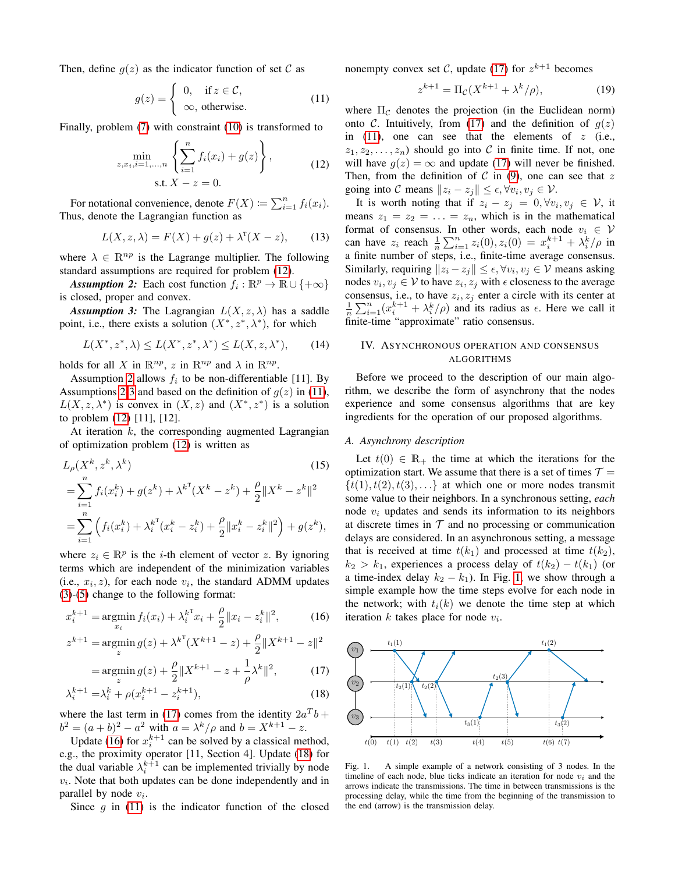Then, define  $q(z)$  as the indicator function of set C as

<span id="page-2-3"></span>
$$
g(z) = \begin{cases} 0, & \text{if } z \in \mathcal{C}, \\ \infty, & \text{otherwise.} \end{cases}
$$
 (11)

Finally, problem [\(7\)](#page-1-3) with constraint [\(10\)](#page-1-4) is transformed to

<span id="page-2-0"></span>
$$
\min_{z,x_i,i=1,...,n} \left\{ \sum_{i=1}^n f_i(x_i) + g(z) \right\},\tag{12}
$$
\n
$$
\text{s.t. } X - z = 0.
$$

For notational convenience, denote  $F(X) \coloneqq \sum_{i=1}^{n} f_i(x_i)$ . Thus, denote the Lagrangian function as

<span id="page-2-10"></span>
$$
L(X, z, \lambda) = F(X) + g(z) + \lambda^{T}(X - z), \qquad (13)
$$

where  $\lambda \in \mathbb{R}^{np}$  is the Lagrange multiplier. The following standard assumptions are required for problem [\(12\)](#page-2-0).

*Assumption 2:* Each cost function  $f_i : \mathbb{R}^p \to \mathbb{R} \cup \{+\infty\}$ is closed, proper and convex.

<span id="page-2-2"></span>*Assumption 3:* The Lagrangian  $L(X, z, \lambda)$  has a saddle point, i.e., there exists a solution  $(X^*, z^*, \lambda^*)$ , for which

<span id="page-2-9"></span>
$$
L(X^*, z^*, \lambda) \le L(X^*, z^*, \lambda^*) \le L(X, z, \lambda^*), \qquad (14)
$$

holds for all X in  $\mathbb{R}^{np}$ , z in  $\mathbb{R}^{np}$  and  $\lambda$  in  $\mathbb{R}^{np}$ .

 $\mathbf{r}$ 

Assumption [2](#page-2-1) allows  $f_i$  to be non-differentiable [11]. By Assumptions [2](#page-2-1)[-3](#page-2-2) and based on the definition of  $g(z)$  in [\(11\)](#page-2-3),  $L(X, z, \lambda^*)$  is convex in  $(X, z)$  and  $(X^*, z^*)$  is a solution to problem [\(12\)](#page-2-0) [11], [12].

At iteration  $k$ , the corresponding augmented Lagrangian of optimization problem [\(12\)](#page-2-0) is written as

$$
L_{\rho}(X^{k}, z^{k}, \lambda^{k})
$$
\n
$$
= \sum_{i=1}^{n} f_{i}(x_{i}^{k}) + g(z^{k}) + \lambda^{k^{T}}(X^{k} - z^{k}) + \frac{\rho}{2} \|X^{k} - z^{k}\|^{2}
$$
\n
$$
= \sum_{i=1}^{n} \left( f_{i}(x_{i}^{k}) + \lambda_{i}^{k^{T}}(x_{i}^{k} - z_{i}^{k}) + \frac{\rho}{2} \|x_{i}^{k} - z_{i}^{k}\|^{2} \right) + g(z^{k}),
$$
\n(15)

where  $z_i \in \mathbb{R}^p$  is the *i*-th element of vector z. By ignoring terms which are independent of the minimization variables (i.e.,  $x_i, z$ ), for each node  $v_i$ , the standard ADMM updates [\(3\)](#page-1-5)-[\(5\)](#page-1-6) change to the following format:

$$
x_i^{k+1} = \operatorname*{argmin}_{x_i} f_i(x_i) + \lambda_i^{k^{\mathrm{T}}} x_i + \frac{\rho}{2} \|x_i - z_i^k\|^2, \tag{16}
$$

$$
z^{k+1} = \operatorname*{argmin}_{z} g(z) + \lambda^{k} (X^{k+1} - z) + \frac{\rho}{2} \|X^{k+1} - z\|^2
$$

$$
= \operatorname*{argmin}_{z} g(z) + \frac{\rho}{2} \|X^{k+1} - z + \frac{1}{\rho} \lambda^k\|^2, \tag{17}
$$

$$
\lambda_i^{k+1} = \lambda_i^k + \rho(x_i^{k+1} - z_i^{k+1}),\tag{18}
$$

where the last term in [\(17\)](#page-2-4) comes from the identity  $2a^Tb$  +  $b^2 = (a + b)^2 - a^2$  with  $a = \lambda^k / \rho$  and  $b = X^{k+1} - z$ .

Update [\(16\)](#page-2-5) for  $x_i^{k+1}$  can be solved by a classical method, e.g., the proximity operator [11, Section 4]. Update [\(18\)](#page-2-6) for the dual variable  $\lambda_i^{k+1}$  can be implemented trivially by node  $v_i$ . Note that both updates can be done independently and in parallel by node  $v_i$ .

Since  $q$  in [\(11\)](#page-2-3) is the indicator function of the closed

nonempty convex set C, update [\(17\)](#page-2-4) for  $z^{k+1}$  becomes

$$
z^{k+1} = \Pi_{\mathcal{C}}(X^{k+1} + \lambda^k/\rho),
$$
 (19)

where  $\Pi_{\mathcal{C}}$  denotes the projection (in the Euclidean norm) onto C. Intuitively, from [\(17\)](#page-2-4) and the definition of  $g(z)$ in [\(11\)](#page-2-3), one can see that the elements of  $z$  (i.e.,  $z_1, z_2, \ldots, z_n$  should go into C in finite time. If not, one will have  $g(z) = \infty$  and update [\(17\)](#page-2-4) will never be finished. Then, from the definition of  $C$  in [\(9\)](#page-1-7), one can see that z going into C means  $||z_i - z_j|| \leq \epsilon, \forall v_i, v_j \in \mathcal{V}$ .

<span id="page-2-1"></span>It is worth noting that if  $z_i - z_j = 0, \forall v_i, v_j \in V$ , it means  $z_1 = z_2 = \ldots = z_n$ , which is in the mathematical format of consensus. In other words, each node  $v_i \in V$ can have  $z_i$  reach  $\frac{1}{n} \sum_{i=1}^n z_i(0), z_i(0) = x_i^{k+1} + \lambda_i^k / \rho$  in a finite number of steps, i.e., finite-time average consensus. Similarly, requiring  $||z_i - z_j|| \leq \epsilon$ ,  $\forall v_i, v_j \in \mathcal{V}$  means asking nodes  $v_i, v_j \in V$  to have  $z_i, z_j$  with  $\epsilon$  closeness to the average consensus, i.e., to have  $z_i, z_j$  enter a circle with its center at  $\frac{1}{n}\sum_{i=1}^{n}(x_i^{k+1} + \lambda_i^k/\rho)$  and its radius as  $\epsilon$ . Here we call it finite-time "approximate" ratio consensus.

# IV. ASYNCHRONOUS OPERATION AND CONSENSUS ALGORITHMS

Before we proceed to the description of our main algorithm, we describe the form of asynchrony that the nodes experience and some consensus algorithms that are key ingredients for the operation of our proposed algorithms.

#### <span id="page-2-8"></span>*A. Asynchrony description*

Let  $t(0) \in \mathbb{R}_+$  the time at which the iterations for the optimization start. We assume that there is a set of times  $\mathcal{T} =$  $\{t(1), t(2), t(3), \ldots\}$  at which one or more nodes transmit some value to their neighbors. In a synchronous setting, *each* node  $v_i$  updates and sends its information to its neighbors at discrete times in  $T$  and no processing or communication delays are considered. In an asynchronous setting, a message that is received at time  $t(k_1)$  and processed at time  $t(k_2)$ ,  $k_2 > k_1$ , experiences a process delay of  $t(k_2) - t(k_1)$  (or a time-index delay  $k_2 - k_1$ ). In Fig. [1,](#page-2-7) we show through a simple example how the time steps evolve for each node in the network; with  $t_i(k)$  we denote the time step at which iteration  $k$  takes place for node  $v_i$ .

<span id="page-2-6"></span><span id="page-2-5"></span><span id="page-2-4"></span>

<span id="page-2-7"></span>Fig. 1. A simple example of a network consisting of 3 nodes. In the timeline of each node, blue ticks indicate an iteration for node  $v_i$  and the arrows indicate the transmissions. The time in between transmissions is the processing delay, while the time from the beginning of the transmission to the end (arrow) is the transmission delay.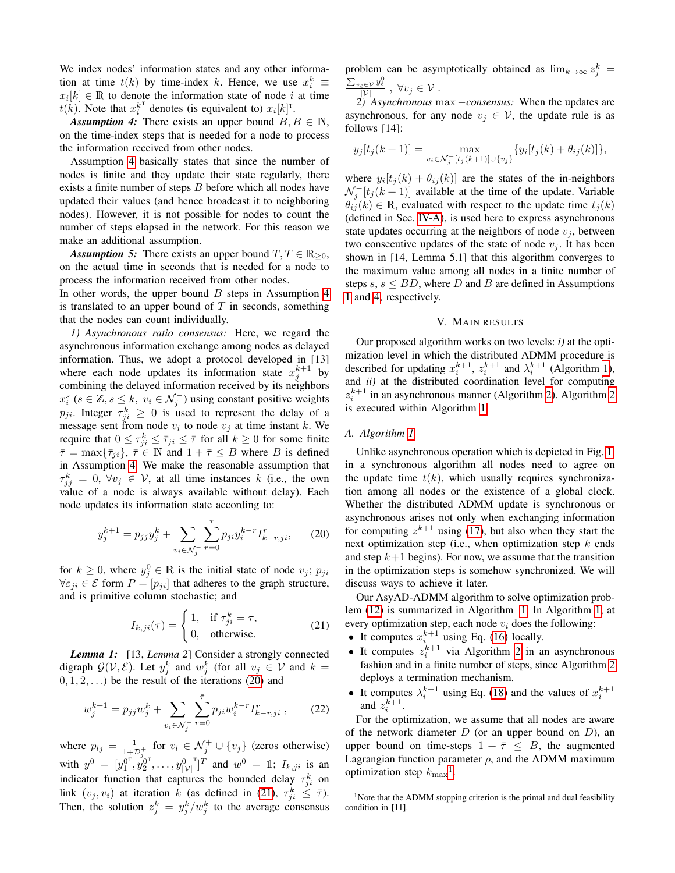We index nodes' information states and any other information at time  $t(k)$  by time-index k. Hence, we use  $x_i^k \equiv$  $x_i[k] \in \mathbb{R}$  to denote the information state of node i at time  $t(k)$ . Note that  $x_i^{k^T}$  denotes (is equivalent to)  $x_i[k]^T$ .

<span id="page-3-0"></span>*Assumption 4:* There exists an upper bound  $B, B \in \mathbb{N}$ , on the time-index steps that is needed for a node to process the information received from other nodes.

Assumption [4](#page-3-0) basically states that since the number of nodes is finite and they update their state regularly, there exists a finite number of steps B before which all nodes have updated their values (and hence broadcast it to neighboring nodes). However, it is not possible for nodes to count the number of steps elapsed in the network. For this reason we make an additional assumption.

<span id="page-3-5"></span>*Assumption 5:* There exists an upper bound  $T, T \in \mathbb{R}_{\geq 0}$ , on the actual time in seconds that is needed for a node to process the information received from other nodes.

In other words, the upper bound  $B$  steps in Assumption [4](#page-3-0) is translated to an upper bound of  $T$  in seconds, something that the nodes can count individually.

<span id="page-3-3"></span>*1) Asynchronous ratio consensus:* Here, we regard the asynchronous information exchange among nodes as delayed information. Thus, we adopt a protocol developed in [13] where each node updates its information state  $x_j^{k+1}$  by combining the delayed information received by its neighbors  $x_i^s$  ( $s \in \mathbb{Z}, s \leq k$ ,  $v_i \in \mathcal{N}_j$ ) using constant positive weights  $p_{ji}$ . Integer  $\tau_{ji}^k \geq 0$  is used to represent the delay of a message sent from node  $v_i$  to node  $v_j$  at time instant k. We require that  $0 \le \tau_{ji}^k \le \overline{\tau}_{ji} \le \overline{\tau}$  for all  $k \ge 0$  for some finite  $\bar{\tau} = \max{\lbrace \bar{\tau}_{ji} \rbrace}, \bar{\tau} \in \mathbb{N}$  and  $1 + \bar{\tau} \leq B$  where B is defined in Assumption [4.](#page-3-0) We make the reasonable assumption that  $\tau_{jj}^k = 0, \forall v_j \in V$ , at all time instances k (i.e., the own value of a node is always available without delay). Each node updates its information state according to:

$$
y_j^{k+1} = p_{jj} y_j^k + \sum_{v_i \in \mathcal{N}_j^-} \sum_{r=0}^{\bar{\tau}} p_{ji} y_i^{k-r} I_{k-r,ji}^r, \qquad (20)
$$

for  $k \geq 0$ , where  $y_j^0 \in \mathbb{R}$  is the initial state of node  $v_j$ ;  $p_{ji}$  $\forall \varepsilon_{ji} \in \mathcal{E}$  form  $P = [p_{ji}]$  that adheres to the graph structure, and is primitive column stochastic; and

$$
I_{k,ji}(\tau) = \begin{cases} 1, & \text{if } \tau_{ji}^k = \tau, \\ 0, & \text{otherwise.} \end{cases}
$$
 (21)

*Lemma 1:* [13, *Lemma 2*] Consider a strongly connected digraph  $G(V, E)$ . Let  $y_j^k$  and  $w_j^k$  (for all  $v_j \in V$  and  $k =$  $(0, 1, 2, ...)$  be the result of the iterations  $(20)$  and

$$
w_j^{k+1} = p_{jj} w_j^k + \sum_{v_i \in \mathcal{N}_j^-} \sum_{r=0}^{\bar{\tau}} p_{ji} w_i^{k-r} I_{k-r,ji}^r , \qquad (22)
$$

where  $p_{lj} = \frac{1}{1+i}$  $\frac{1}{1+D_j^+}$  for  $v_l \in \mathcal{N}_j^+ \cup \{v_j\}$  (zeros otherwise) with  $y^0 = [y_1^{0^{\mathrm{T}}}, y_2^{0^{\mathrm{T}}}, \dots, y_{|\mathcal{V}|}^{0^{\mathrm{T}}}]^T$  and  $w^0 = 1$ ;  $I_{k, j i}$  is an indicator function that captures the bounded delay  $\tau_{ji}^k$  on link  $(v_j, v_i)$  at iteration k (as defined in [\(21\)](#page-3-2),  $\tau_{ji}^k \leq \bar{\tau}$ ). Then, the solution  $z_j^k = y_j^k/w_j^k$  to the average consensus problem can be asymptotically obtained as  $\lim_{k\to\infty} z_j^k =$  $\frac{\sum_{v_{\ell} \in \mathcal{V}} y_{\ell}^0}{|\mathcal{V}|}$ ,  $\forall v_j \in \mathcal{V}$ .

<span id="page-3-4"></span>*2) Asynchronous* max −*consensus:* When the updates are asynchronous, for any node  $v_i \in V$ , the update rule is as follows [14]:

$$
y_j[t_j(k+1)] = \max_{v_i \in \mathcal{N}_j^{-}[t_j(k+1)] \cup \{v_j\}} \{y_i[t_j(k) + \theta_{ij}(k)]\},\
$$

where  $y_i[t_j(k) + \theta_{ij}(k)]$  are the states of the in-neighbors  $\mathcal{N}_j^{-}[t_j(k+1)]$  available at the time of the update. Variable  $\theta_{ij}(k) \in \mathbb{R}$ , evaluated with respect to the update time  $t_j(k)$ (defined in Sec. [IV-A\)](#page-2-8), is used here to express asynchronous state updates occurring at the neighbors of node  $v_i$ , between two consecutive updates of the state of node  $v_i$ . It has been shown in [14, Lemma 5.1] that this algorithm converges to the maximum value among all nodes in a finite number of steps  $s, s \le BD$ , where D and B are defined in Assumptions [1](#page-1-0) and [4,](#page-3-0) respectively.

# V. MAIN RESULTS

Our proposed algorithm works on two levels: *i)* at the optimization level in which the distributed ADMM procedure is described for updating  $x_i^{k+1}$ ,  $z_i^{k+1}$  and  $\lambda_i^{k+1}$  (Algorithm [1\)](#page-4-0), and *ii)* at the distributed coordination level for computing  $z_i^{k+1}$  in an asynchronous manner (Algorithm [2\)](#page-4-1). Algorithm [2](#page-4-1) is executed within Algorithm [1.](#page-4-0)

#### *A. Algorithm [1](#page-4-0)*

Unlike asynchronous operation which is depicted in Fig. [1,](#page-2-7) in a synchronous algorithm all nodes need to agree on the update time  $t(k)$ , which usually requires synchronization among all nodes or the existence of a global clock. Whether the distributed ADMM update is synchronous or asynchronous arises not only when exchanging information for computing  $z^{k+1}$  using [\(17\)](#page-2-4), but also when they start the next optimization step (i.e., when optimization step  $k$  ends and step  $k+1$  begins). For now, we assume that the transition in the optimization steps is somehow synchronized. We will discuss ways to achieve it later.

<span id="page-3-2"></span><span id="page-3-1"></span>Our AsyAD-ADMM algorithm to solve optimization problem [\(12\)](#page-2-0) is summarized in Algorithm [1.](#page-4-0) In Algorithm [1,](#page-4-0) at every optimization step, each node  $v_i$  does the following:

- It computes  $x_i^{k+1}$  using Eq. [\(16\)](#page-2-5) locally.
- It computes  $z_i^{k+1}$  via Algorithm [2](#page-4-1) in an asynchronous fashion and in a finite number of steps, since Algorithm [2](#page-4-1) deploys a termination mechanism.
- It computes  $\lambda_i^{k+1}$  using Eq. [\(18\)](#page-2-6) and the values of  $x_i^{k+1}$  and  $z_i^{k+1}$ .

For the optimization, we assume that all nodes are aware of the network diameter  $D$  (or an upper bound on  $D$ ), an upper bound on time-steps  $1 + \overline{\tau} \leq B$ , the augmented Lagrangian function parameter  $\rho$ , and the ADMM maximum optimization step  $k_{\text{max}}^{\text{}}$ <sup>[1](#page-0-0)</sup>.

<sup>1</sup>Note that the ADMM stopping criterion is the primal and dual feasibility condition in [11].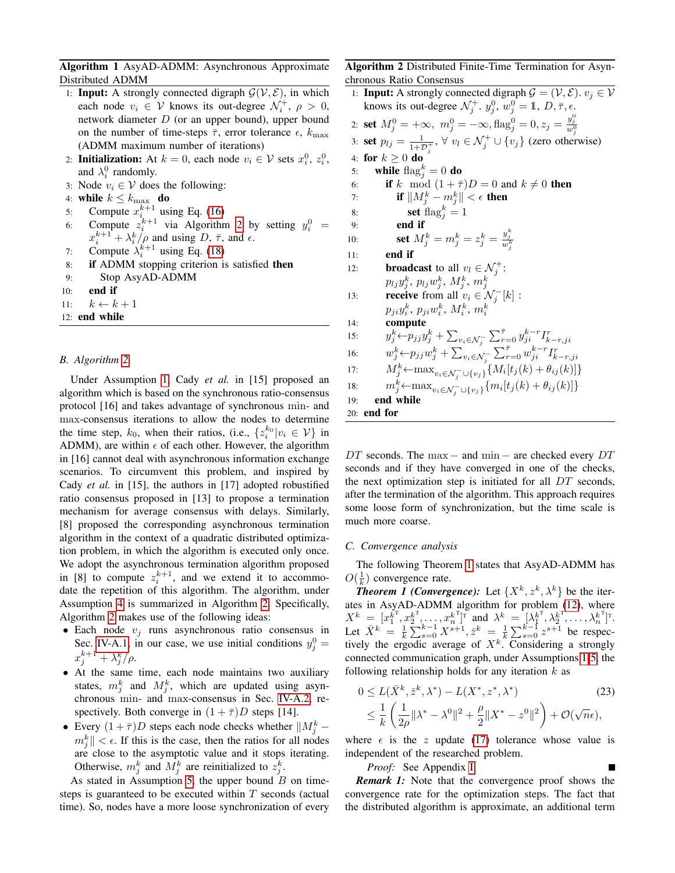# Algorithm 1 AsyAD-ADMM: Asynchronous Approximate Distributed ADMM

- 1: **Input:** A strongly connected digraph  $\mathcal{G}(\mathcal{V}, \mathcal{E})$ , in which each node  $v_i \in V$  knows its out-degree  $\mathcal{N}_i^+$ ,  $\rho > 0$ , network diameter  $D$  (or an upper bound), upper bound on the number of time-steps  $\bar{\tau}$ , error tolerance  $\epsilon$ ,  $k_{\text{max}}$ (ADMM maximum number of iterations)
- 2: Initialization: At  $k = 0$ , each node  $v_i \in \mathcal{V}$  sets  $x_i^0, z_i^0$ , and  $\lambda_i^0$  randomly.
- 3: Node  $v_i \in V$  does the following:
- 4: while  $k \leq k_{\max}$  do
- 5: Compute  $x_{i}^{k+1}$  using Eq. [\(16\)](#page-2-5)
- 6: Compute  $z_i^{k+1}$  via Algorithm [2](#page-4-1) by setting  $y_i^0$  =  $x_i^{k+1} + \lambda_i^k / \rho$  and using D,  $\bar{\tau}$ , and  $\epsilon$ .
- 7: Compute  $\lambda_i^{k+1}$  using Eq. [\(18\)](#page-2-6)
- 8: if ADMM stopping criterion is satisfied then
- 9: Stop AsyAD-ADMM
- 10: end if
- 11:  $k \leftarrow k + 1$
- <span id="page-4-0"></span>12: end while

# *B. Algorithm [2](#page-4-1)*

Under Assumption [1,](#page-1-0) Cady *et al.* in [15] proposed an algorithm which is based on the synchronous ratio-consensus protocol [16] and takes advantage of synchronous min- and max-consensus iterations to allow the nodes to determine the time step,  $k_0$ , when their ratios, (i.e.,  $\{z_i^{k_0}|v_i \in V\}$  in ADMM), are within  $\epsilon$  of each other. However, the algorithm in [16] cannot deal with asynchronous information exchange scenarios. To circumvent this problem, and inspired by Cady *et al.* in [15], the authors in [17] adopted robustified ratio consensus proposed in [13] to propose a termination mechanism for average consensus with delays. Similarly, [8] proposed the corresponding asynchronous termination algorithm in the context of a quadratic distributed optimization problem, in which the algorithm is executed only once. We adopt the asynchronous termination algorithm proposed in [8] to compute  $z_i^{k+1}$ , and we extend it to accommodate the repetition of this algorithm. The algorithm, under Assumption [4](#page-3-0) is summarized in Algorithm [2.](#page-4-1) Specifically, Algorithm [2](#page-4-1) makes use of the following ideas:

- Each node  $v_i$  runs asynchronous ratio consensus in Sec. [IV-A.1;](#page-3-3) in our case, we use initial conditions  $y_j^0 =$  $x_j^{k+1} + \lambda_j^k/\rho.$
- At the same time, each node maintains two auxiliary states,  $m_j^k$  and  $M_j^k$ , which are updated using asynchronous min- and max-consensus in Sec. [IV-A.2,](#page-3-4) respectively. Both converge in  $(1 + \overline{\tau})D$  steps [14].
- Every  $(1 + \bar{\tau})D$  steps each node checks whether  $||M_j^k$  $m_j^k$   $| < \epsilon$ . If this is the case, then the ratios for all nodes are close to the asymptotic value and it stops iterating. Otherwise,  $m_j^k$  and  $M_j^k$  are reinitialized to  $z_j^k$ .

As stated in Assumption [5,](#page-3-5) the upper bound  $B$  on timesteps is guaranteed to be executed within  $T$  seconds (actual time). So, nodes have a more loose synchronization of every Algorithm 2 Distributed Finite-Time Termination for Asynchronous Ratio Consensus

|     | 1: <b>Input:</b> A strongly connected digraph $\mathcal{G} = (\mathcal{V}, \mathcal{E})$ . $v_j \in \mathcal{V}$     |  |  |  |
|-----|----------------------------------------------------------------------------------------------------------------------|--|--|--|
|     | knows its out-degree $\mathcal{N}_i^+$ , $y_j^0$ , $w_j^0 = \mathbb{1}, D, \overline{\tau}, \epsilon$ .              |  |  |  |
|     | 2: <b>set</b> $M_j^0 = +\infty$ , $m_j^0 = -\infty$ , $\text{flag}_j^0 = 0$ , $z_j = \frac{y_j^2}{w_j^0}$            |  |  |  |
|     | 3: <b>set</b> $p_{lj} = \frac{1}{1+\mathcal{D}^+}, \forall v_l \in \mathcal{N}_j^+ \cup \{v_j\}$ (zero otherwise)    |  |  |  |
|     | 4: for $k \geq 0$ do                                                                                                 |  |  |  |
| 5:  | while $\text{flag}_i^k = 0$ do                                                                                       |  |  |  |
| 6:  | if k mod $(1 + \overline{\tau})D = 0$ and $k \neq 0$ then                                                            |  |  |  |
| 7:  | if $\ M_i^k - m_i^k\  < \epsilon$ then                                                                               |  |  |  |
| 8:  | set $\text{flag}_i^k = 1$                                                                                            |  |  |  |
| 9:  | end if                                                                                                               |  |  |  |
| 10: | set $M_j^k = m_j^k = z_j^k = \frac{y_j^k}{w_j^k}$                                                                    |  |  |  |
| 11: | end if                                                                                                               |  |  |  |
| 12: | <b>broadcast</b> to all $v_l \in \mathcal{N}_i^+$ :                                                                  |  |  |  |
|     | $p_{lj}y_j^k, p_{lj}w_j^k, M_j^k, m_j^k$                                                                             |  |  |  |
| 13: | <b>receive</b> from all $v_i \in \mathcal{N}_i^{-}[k]$ :                                                             |  |  |  |
|     | $p_{ji}y_i^k, p_{ji}w_i^k, M_i^k, m_i^k$                                                                             |  |  |  |
| 14: | compute                                                                                                              |  |  |  |
| 15: | $y_j^k \leftarrow p_{jj} y_j^k + \sum_{v_i \in \mathcal{N}_i^-} \sum_{r=0}^{\bar{\tau}} y_{ji}^{k-r} I_{k-r,ji}^r$   |  |  |  |
| 16: | $w_j^k {\leftarrow} p_{jj} w_j^k + \sum_{v_i \in \mathcal{N}_i^-} \sum_{r=0}^{\bar{\tau}} w_{ji}^{k-r} I_{k-r,ji}^r$ |  |  |  |
| 17: | $M_j^k \leftarrow \max_{v_i \in \mathcal{N}_j^- \cup \{v_j\}} \{M_i[t_j(k) + \theta_{ij}(k)]\}$                      |  |  |  |
| 18: | $m_j^k \leftarrow \max_{v_i \in \mathcal{N}_j^- \cup \{v_j\}} \{m_i[t_j(k) + \theta_{ij}(k)]\}$                      |  |  |  |
| 19: | end while                                                                                                            |  |  |  |
| 20: | end for                                                                                                              |  |  |  |

<span id="page-4-1"></span> $DT$  seconds. The max – and min – are checked every  $DT$ seconds and if they have converged in one of the checks, the next optimization step is initiated for all DT seconds, after the termination of the algorithm. This approach requires some loose form of synchronization, but the time scale is much more coarse.

### *C. Convergence analysis*

<span id="page-4-2"></span>The following Theorem [1](#page-4-2) states that AsyAD-ADMM has  $O(\frac{1}{k})$  convergence rate.

**Theorem 1 (Convergence):** Let  $\{X^k, z^k, \lambda^k\}$  be the iterates in AsyAD-ADMM algorithm for problem  $(12)$ , where  $X^k = [x_1^{k^{\text{T}}}, x_2^{k^{\text{T}}}, \dots, x_n^{k^{\text{T}}}]^{\text{T}}$  and  $\lambda^k = [\lambda_1^{k^{\text{T}}}, \lambda_2^{k^{\text{T}}}, \dots, \lambda_n^{k^{\text{T}}}]^{\text{T}}$ . Let  $\bar{X}^k = \frac{1}{k} \sum_{s=0}^{k-1} X^{s+1}, \bar{z}^k = \frac{1}{k} \sum_{s=0}^{k-1} z^{s+1}$  be respectively the ergodic average of  $X^k$ . Considering a strongly connected communication graph, under Assumptions [1-](#page-1-0)[5,](#page-3-5) the following relationship holds for any iteration  $k$  as

$$
0 \le L(\bar{X}^k, \bar{z}^k, \lambda^*) - L(X^*, z^*, \lambda^*)
$$
\n
$$
\le \frac{1}{k} \left( \frac{1}{2\rho} \| \lambda^* - \lambda^0 \|^2 + \frac{\rho}{2} \| X^* - z^0 \|^2 \right) + \mathcal{O}(\sqrt{n}\epsilon),
$$
\n(23)

where  $\epsilon$  is the z update [\(17\)](#page-2-4) tolerance whose value is independent of the researched problem.

<span id="page-4-3"></span>П

*Proof:* See Appendix [I.](#page-6-0)

*Remark 1:* Note that the convergence proof shows the convergence rate for the optimization steps. The fact that the distributed algorithm is approximate, an additional term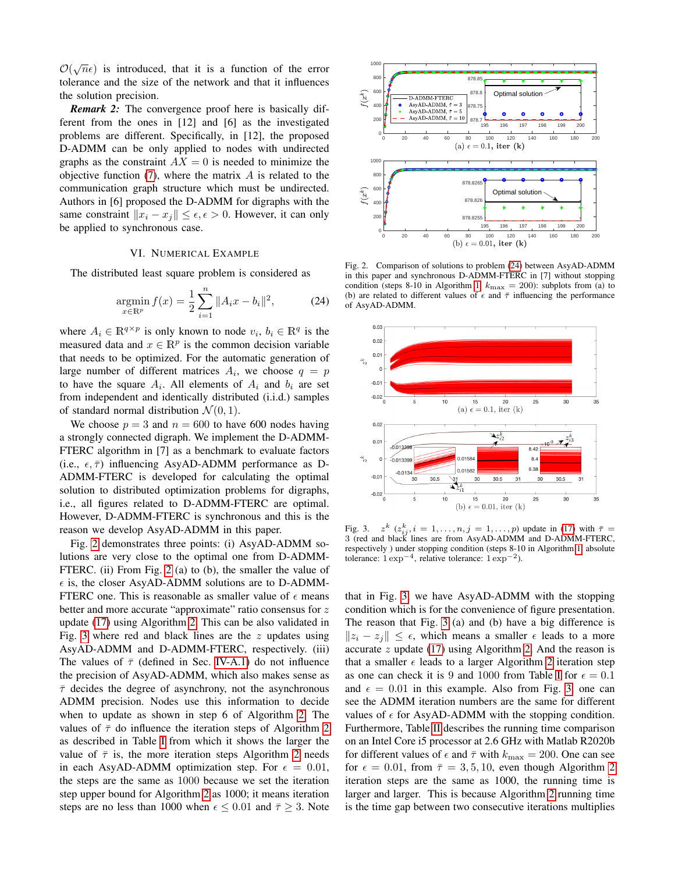$\mathcal{O}(\sqrt{n}\epsilon)$  is introduced, that it is a function of the error tolerance and the size of the network and that it influences the solution precision.

*Remark 2:* The convergence proof here is basically different from the ones in [12] and [6] as the investigated problems are different. Specifically, in [12], the proposed D-ADMM can be only applied to nodes with undirected graphs as the constraint  $AX = 0$  is needed to minimize the objective function  $(7)$ , where the matrix  $A$  is related to the communication graph structure which must be undirected. Authors in [6] proposed the D-ADMM for digraphs with the same constraint  $||x_i - x_j|| \leq \epsilon, \epsilon > 0$ . However, it can only be applied to synchronous case.

#### VI. NUMERICAL EXAMPLE

The distributed least square problem is considered as

<span id="page-5-2"></span>
$$
\underset{x \in \mathbb{R}^p}{\text{argmin}} \, f(x) = \frac{1}{2} \sum_{i=1}^n \|A_i x - b_i\|^2, \tag{24}
$$

where  $A_i \in \mathbb{R}^{q \times p}$  is only known to node  $v_i, b_i \in \mathbb{R}^q$  is the measured data and  $x \in \mathbb{R}^p$  is the common decision variable that needs to be optimized. For the automatic generation of large number of different matrices  $A_i$ , we choose  $q = p$ to have the square  $A_i$ . All elements of  $A_i$  and  $b_i$  are set from independent and identically distributed (i.i.d.) samples of standard normal distribution  $\mathcal{N}(0, 1)$ .

We choose  $p = 3$  and  $n = 600$  to have 600 nodes having a strongly connected digraph. We implement the D-ADMM-FTERC algorithm in [7] as a benchmark to evaluate factors (i.e.,  $\epsilon$ ,  $\bar{\tau}$ ) influencing AsyAD-ADMM performance as D-ADMM-FTERC is developed for calculating the optimal solution to distributed optimization problems for digraphs, i.e., all figures related to D-ADMM-FTERC are optimal. However, D-ADMM-FTERC is synchronous and this is the reason we develop AsyAD-ADMM in this paper.

Fig. [2](#page-5-0) demonstrates three points: (i) AsyAD-ADMM solutions are very close to the optimal one from D-ADMM-FTERC. (ii) From Fig. [2](#page-5-0) (a) to (b), the smaller the value of  $\epsilon$  is, the closer AsyAD-ADMM solutions are to D-ADMM-FTERC one. This is reasonable as smaller value of  $\epsilon$  means better and more accurate "approximate" ratio consensus for z update [\(17\)](#page-2-4) using Algorithm [2.](#page-4-1) This can be also validated in Fig. [3](#page-5-1) where red and black lines are the  $z$  updates using AsyAD-ADMM and D-ADMM-FTERC, respectively. (iii) The values of  $\bar{\tau}$  (defined in Sec. [IV-A.1\)](#page-3-3) do not influence the precision of AsyAD-ADMM, which also makes sense as  $\bar{\tau}$  decides the degree of asynchrony, not the asynchronous ADMM precision. Nodes use this information to decide when to update as shown in step 6 of Algorithm [2.](#page-4-1) The values of  $\bar{\tau}$  do influence the iteration steps of Algorithm [2](#page-4-1) as described in Table [I](#page-6-1) from which it shows the larger the value of  $\bar{\tau}$  is, the more iteration steps Algorithm [2](#page-4-1) needs in each AsyAD-ADMM optimization step. For  $\epsilon = 0.01$ , the steps are the same as 1000 because we set the iteration step upper bound for Algorithm [2](#page-4-1) as 1000; it means iteration steps are no less than 1000 when  $\epsilon \leq 0.01$  and  $\bar{\tau} \geq 3$ . Note



<span id="page-5-0"></span>Fig. 2. Comparison of solutions to problem [\(24\)](#page-5-2) between AsyAD-ADMM in this paper and synchronous D-ADMM-FTERC in [7] without stopping condition (steps 8-10 in Algorithm [1,](#page-4-0)  $k_{\text{max}} = 200$ ): subplots from (a) to (b) are related to different values of  $\epsilon$  and  $\bar{\tau}$  influencing the performance of AsyAD-ADMM.



<span id="page-5-1"></span>Fig. 3.  $k$   $(z_{ij}^k, i = 1, \ldots, n, j = 1, \ldots, p)$  update in [\(17\)](#page-2-4) with  $\bar{\tau} =$ 3 (red and black lines are from AsyAD-ADMM and D-ADMM-FTERC, respectively ) under stopping condition (steps 8-10 in Algorithm [1,](#page-4-0) absolute tolerance:  $1 \exp^{-4}$ , relative tolerance:  $1 \exp^{-2}$ ).

that in Fig. [3,](#page-5-1) we have AsyAD-ADMM with the stopping condition which is for the convenience of figure presentation. The reason that Fig. [3](#page-5-1) (a) and (b) have a big difference is  $||z_i - z_j|| \leq \epsilon$ , which means a smaller  $\epsilon$  leads to a more accurate  $z$  update [\(17\)](#page-2-4) using Algorithm [2.](#page-4-1) And the reason is that a smaller  $\epsilon$  leads to a larger Algorithm [2](#page-4-1) iteration step as one can check it is 9 and 1000 from Table [I](#page-6-1) for  $\epsilon = 0.1$ and  $\epsilon = 0.01$  in this example. Also from Fig. [3,](#page-5-1) one can see the ADMM iteration numbers are the same for different values of  $\epsilon$  for AsyAD-ADMM with the stopping condition. Furthermore, Table [II](#page-6-2) describes the running time comparison on an Intel Core i5 processor at 2.6 GHz with Matlab R2020b for different values of  $\epsilon$  and  $\bar{\tau}$  with  $k_{\text{max}} = 200$ . One can see for  $\epsilon = 0.01$ , from  $\bar{\tau} = 3, 5, 10$ , even though Algorithm [2](#page-4-1) iteration steps are the same as 1000, the running time is larger and larger. This is because Algorithm [2](#page-4-1) running time is the time gap between two consecutive iterations multiplies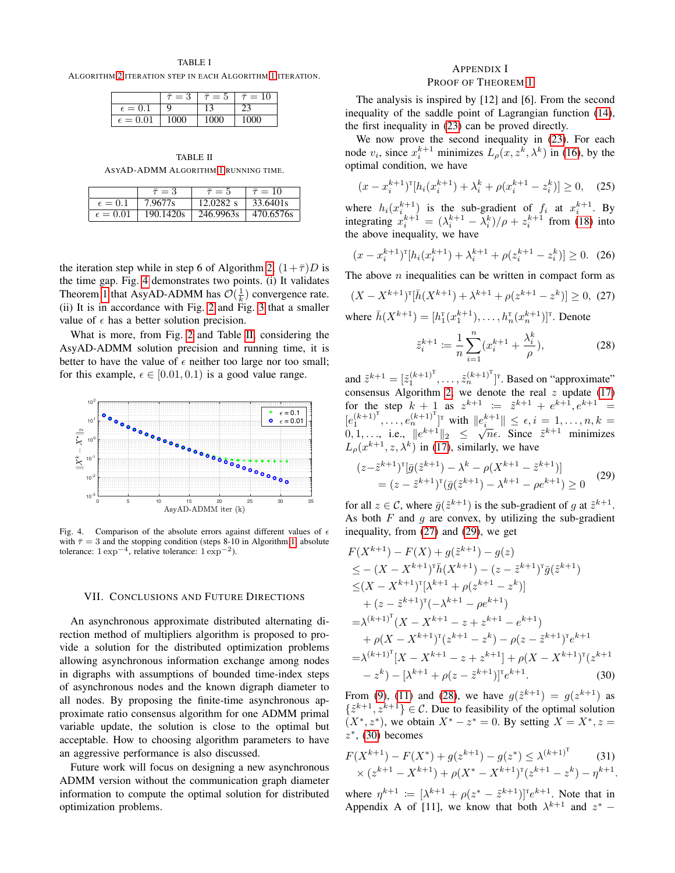TABLE I

<span id="page-6-1"></span>ALGORITHM [2](#page-4-1) ITERATION STEP IN EACH ALGORITHM [1](#page-4-0) ITERATION.

|                   | $=$ 3 | $\tau = 5$ | $=$  |
|-------------------|-------|------------|------|
| $\epsilon = 0.$   |       |            |      |
| $\epsilon = 0.01$ | 1000  | 000        | 1000 |

TABLE II ASYAD-ADMM ALGORITHM [1](#page-4-0) RUNNING TIME.

<span id="page-6-2"></span>

|                  | $\bar{\tau}=3$                                        | $\bar{\tau} = 5$               | $\bar{\tau} = 10$ |
|------------------|-------------------------------------------------------|--------------------------------|-------------------|
| $\epsilon = 0.1$ | $7.9677s$                                             | $12.0282 \text{ s}$   33.6401s |                   |
|                  | $\epsilon = 0.01$   190.1420s   246.9963s   470.6576s |                                |                   |

the iteration step while in step 6 of Algorithm [2,](#page-4-1)  $(1+\bar{\tau})D$  is the time gap. Fig. [4](#page-6-3) demonstrates two points. (i) It validates Theorem [1](#page-4-2) that AsyAD-ADMM has  $\mathcal{O}(\frac{1}{k})$  convergence rate. (ii) It is in accordance with Fig. [2](#page-5-0) and Fig. [3](#page-5-1) that a smaller value of  $\epsilon$  has a better solution precision.

What is more, from Fig. [2](#page-5-0) and Table [II,](#page-6-2) considering the AsyAD-ADMM solution precision and running time, it is better to have the value of  $\epsilon$  neither too large nor too small; for this example,  $\epsilon \in [0.01, 0.1)$  is a good value range.



<span id="page-6-3"></span>Fig. 4. Comparison of the absolute errors against different values of  $\epsilon$ with  $\bar{\tau} = 3$  and the stopping condition (steps 8-10 in Algorithm [1,](#page-4-0) absolute tolerance:  $1 \exp^{-4}$ , relative tolerance:  $1 \exp^{-2}$ ).

#### VII. CONCLUSIONS AND FUTURE DIRECTIONS

An asynchronous approximate distributed alternating direction method of multipliers algorithm is proposed to provide a solution for the distributed optimization problems allowing asynchronous information exchange among nodes in digraphs with assumptions of bounded time-index steps of asynchronous nodes and the known digraph diameter to all nodes. By proposing the finite-time asynchronous approximate ratio consensus algorithm for one ADMM primal variable update, the solution is close to the optimal but acceptable. How to choosing algorithm parameters to have an aggressive performance is also discussed.

Future work will focus on designing a new asynchronous ADMM version without the communication graph diameter information to compute the optimal solution for distributed optimization problems.

## <span id="page-6-0"></span>APPENDIX I PROOF OF THEOREM [1](#page-4-2)

The analysis is inspired by [12] and [6]. From the second inequality of the saddle point of Lagrangian function [\(14\)](#page-2-9), the first inequality in [\(23\)](#page-4-3) can be proved directly.

We now prove the second inequality in [\(23\)](#page-4-3). For each node  $v_i$ , since  $x_i^{k+1}$  minimizes  $L_\rho(x, z^k, \lambda^k)$  in [\(16\)](#page-2-5), by the optimal condition, we have

$$
(x - x_i^{k+1})^{\mathrm{T}} [h_i(x_i^{k+1}) + \lambda_i^k + \rho (x_i^{k+1} - z_i^k)] \ge 0, \quad (25)
$$

where  $h_i(x_i^{k+1})$  is the sub-gradient of  $f_i$  at  $x_i^{k+1}$ . By integrating  $x_i^{k+1} = (\lambda_i^{k+1} - \lambda_i^k)/\rho + z_i^{k+1}$  from [\(18\)](#page-2-6) into the above inequality, we have

$$
(x - x_i^{k+1})^{\mathrm{T}} [h_i(x_i^{k+1}) + \lambda_i^{k+1} + \rho(z_i^{k+1} - z_i^k)] \ge 0. \tag{26}
$$

The above  $n$  inequalities can be written in compact form as

<span id="page-6-4"></span>
$$
(X - X^{k+1})^{\mathrm{T}}[\bar{h}(X^{k+1}) + \lambda^{k+1} + \rho(z^{k+1} - z^k)] \ge 0, \tag{27}
$$

where  $\bar{h}(X^{k+1}) = [h_1^{\mathrm{T}}(x_1^{k+1}), \dots, h_n^{\mathrm{T}}(x_n^{k+1})]^{\mathrm{T}}$ . Denote

<span id="page-6-6"></span>
$$
\tilde{z}_i^{k+1} := \frac{1}{n} \sum_{i=1}^n (x_i^{k+1} + \frac{\lambda_i^k}{\rho}),\tag{28}
$$

and  $\tilde{z}^{k+1} = [\tilde{z}_1^{(k+1)^T}, \dots, \tilde{z}_n^{(k+1)^T}]^T$ . Based on "approximate" consensus Algorithm [2,](#page-4-1) we denote the real  $z$  update [\(17\)](#page-2-4) for the step  $k + 1$  as  $z^{k+1} := \tilde{z}^{k+1} + e^{k+1}, e^{k+1} =$  $[e_1^{(k+1)^{\mathrm{T}}},\ldots,e_n^{(k+1)^{\mathrm{T}}}]^{\mathrm{T}}$  with  $||e_i^{k+1}|| \leq \epsilon, i = 1,\ldots,n, k = 1$  $[0, 1, \ldots, i.e., \quad \text{with} \quad \|e_i\|_1 \leq \epsilon, i \in [1, \ldots, n, \kappa = 0, 1, \ldots, \text{ i.e., } \|e^{k+1}\|_2 \leq \sqrt{n}\epsilon.$  Since  $\tilde{z}^{k+1}$  minimizes  $L_{\rho}(x^{k+1}, z, \lambda^k)$  in [\(17\)](#page-2-4), similarly, we have

<span id="page-6-5"></span>
$$
(z - \tilde{z}^{k+1})^{\text{T}}[\bar{g}(\tilde{z}^{k+1}) - \lambda^k - \rho(X^{k+1} - \tilde{z}^{k+1})]
$$
  
=  $(z - \tilde{z}^{k+1})^{\text{T}}(\bar{g}(\tilde{z}^{k+1}) - \lambda^{k+1} - \rho e^{k+1}) \ge 0$  (29)

for all  $z \in \mathcal{C}$ , where  $\bar{g}(\tilde{z}^{k+1})$  is the sub-gradient of g at  $\tilde{z}^{k+1}$ . As both  $F$  and  $q$  are convex, by utilizing the sub-gradient inequality, from [\(27\)](#page-6-4) and [\(29\)](#page-6-5), we get

$$
F(X^{k+1}) - F(X) + g(\tilde{z}^{k+1}) - g(z)
$$
  
\n
$$
\leq -(X - X^{k+1})^{\mathrm{T}} \bar{h}(X^{k+1}) - (z - \tilde{z}^{k+1})^{\mathrm{T}} \bar{g}(\tilde{z}^{k+1})
$$
  
\n
$$
\leq (X - X^{k+1})^{\mathrm{T}} [\lambda^{k+1} + \rho(z^{k+1} - z^k)]
$$
  
\n
$$
+ (z - \tilde{z}^{k+1})^{\mathrm{T}} (-\lambda^{k+1} - \rho e^{k+1})
$$
  
\n
$$
= \lambda^{(k+1)^{\mathrm{T}}}(X - X^{k+1} - z + z^{k+1} - e^{k+1})
$$
  
\n
$$
+ \rho(X - X^{k+1})^{\mathrm{T}}(z^{k+1} - z^k) - \rho(z - \tilde{z}^{k+1})^{\mathrm{T}} e^{k+1}
$$
  
\n
$$
= \lambda^{(k+1)^{\mathrm{T}}}[X - X^{k+1} - z + z^{k+1}] + \rho(X - X^{k+1})^{\mathrm{T}}(z^{k+1} - z^k) - [\lambda^{k+1} + \rho(z - \tilde{z}^{k+1})]^{\mathrm{T}} e^{k+1}.
$$
 (30)

<span id="page-6-7"></span>From [\(9\)](#page-1-7), [\(11\)](#page-2-3) and [\(28\)](#page-6-6), we have  $g(\tilde{z}^{k+1}) = g(z^{k+1})$  as  $\{\tilde{z}^{k+1}, z^{k+1}\} \in \mathcal{C}$ . Due to feasibility of the optimal solution  $(X^*, z^*)$ , we obtain  $X^* - z^* = 0$ . By setting  $X = X^*, z =$  $z^*$ , [\(30\)](#page-6-7) becomes

<span id="page-6-8"></span>
$$
F(X^{k+1}) - F(X^*) + g(z^{k+1}) - g(z^*) \le \lambda^{(k+1)^T}
$$
\n
$$
\times (z^{k+1} - X^{k+1}) + \rho(X^* - X^{k+1})^T (z^{k+1} - z^k) - \eta^{k+1}.
$$
\n(31)

where  $\eta^{k+1} := [\lambda^{k+1} + \rho(z^* - \tilde{z}^{k+1})]^T e^{k+1}$ . Note that in Appendix A of [11], we know that both  $\lambda^{k+1}$  and  $z^*$  –